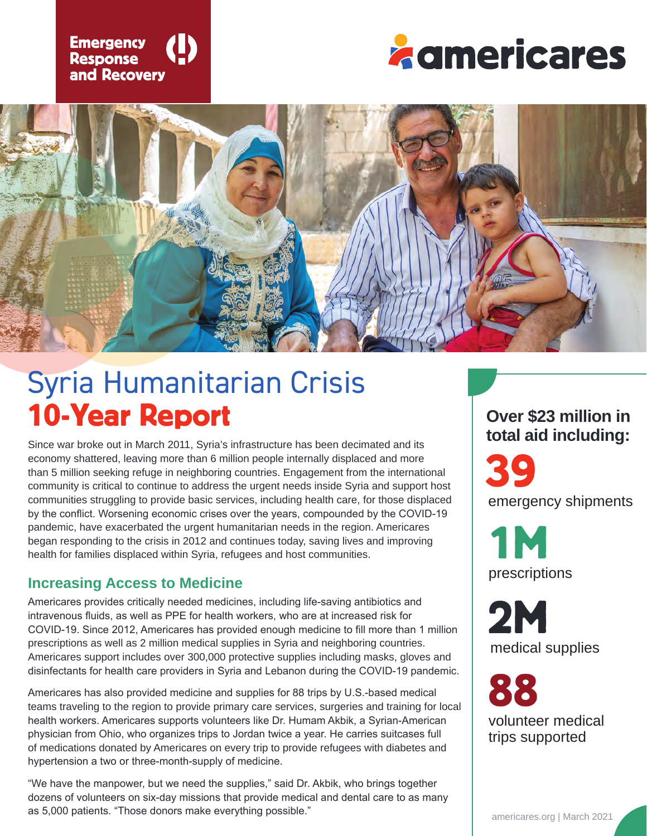





# Syria Humanitarian Crisis 10-Year Report

Since war broke out in March 2011, Syria's infrastructure has been decimated and its economy shattered, leaving more than 6 million people internally displaced and more than 5 million seeking refuge in neighboring countries. Engagement from the international community is critical to continue to address the urgent needs inside Syria and support host communities struggling to provide basic services, including health care, for those displaced by the conflict. Worsening economic crises over the years, compounded by the COVID-19 pandemic, have exacerbated the urgent humanitarian needs in the region. Americares began responding to the crisis in 2012 and continues today, saving lives and improving health for families displaced within Syria, refugees and host communities.

#### **Increasing Access to Medicine**

Americares provides critically needed medicines, including life-saving antibiotics and intravenous fluids, as well as PPE for health workers, who are at increased risk for COVID-19. Since 2012, Americares has provided enough medicine to fill more than 1 million prescriptions as well as 2 million medical supplies in Syria and neighboring countries. Americares support includes over 300,000 protective supplies including masks, gloves and disinfectants for health care providers in Syria and Lebanon during the COVID-19 pandemic.

Americares has also provided medicine and supplies for 88 trips by U.S.-based medical teams traveling to the region to provide primary care services, surgeries and training for local health workers. Americares supports volunteers like Dr. Humam Akbik, a Syrian-American physician from Ohio, who organizes trips to Jordan twice a year. He carries suitcases full of medications donated by Americares on every trip to provide refugees with diabetes and hypertension a two or three-month-supply of medicine.

"We have the manpower, but we need the supplies," said Dr. Akbik, who brings together dozens of volunteers on six-day missions that provide medical and dental care to as many as 5,000 patients. "Those donors make everything possible."

# **Over \$23 million in total aid including:**

emergency shipments 39

prescriptions 1M

medical supplies 2M

volunteer medical trips supported 88